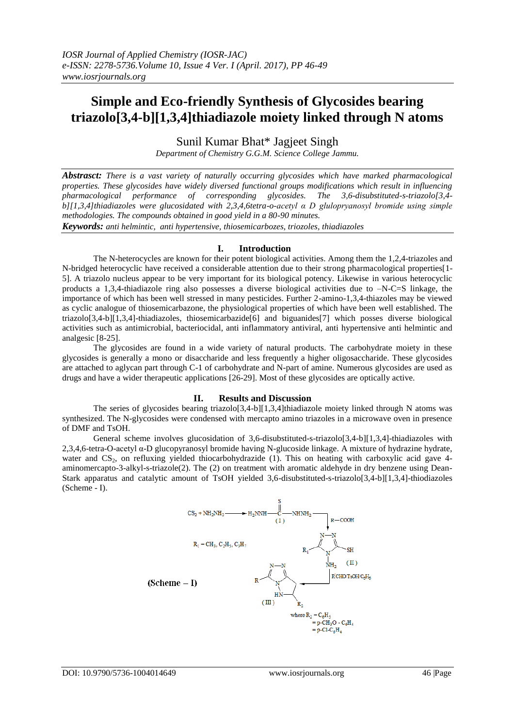# **Simple and Eco-friendly Synthesis of Glycosides bearing triazolo[3,4-b][1,3,4]thiadiazole moiety linked through N atoms**

Sunil Kumar Bhat\* Jagjeet Singh

*Department of Chemistry G.G.M. Science College Jammu.*

*Abstrasct: There is a vast variety of naturally occurring glycosides which have marked pharmacological properties. These glycosides have widely diversed functional groups modifications which result in influencing pharmacological performance of corresponding glycosides. The 3,6-disubstituted-s-triazolo[3,4 b][1,3,4]thiadiazoles were glucosidated with 2,3,4,6tetra-o-acetyl α D glulopryanosyl bromide using simple methodologies. The compounds obtained in good yield in a 80-90 minutes.*

*Keywords: anti helmintic, anti hypertensive, thiosemicarbozes, triozoles, thiadiazoles*

# **I. Introduction**

The N-heterocycles are known for their potent biological activities. Among them the 1,2,4-triazoles and N-bridged heterocyclic have received a considerable attention due to their strong pharmacological properties[1- 5]. A triazolo nucleus appear to be very important for its biological potency. Likewise in various heterocyclic products a 1,3,4-thiadiazole ring also possesses a diverse biological activities due to  $-N-C=S$  linkage, the importance of which has been well stressed in many pesticides. Further 2-amino-1,3,4-thiazoles may be viewed as cyclic analogue of thiosemicarbazone, the physiological properties of which have been well established. The triazolo[3,4-b][1,3,4]-thiadiazoles, thiosemicarbazide[6] and biguanides[7] which posses diverse biological activities such as antimicrobial, bacteriocidal, anti inflammatory antiviral, anti hypertensive anti helmintic and analgesic [8-25].

The glycosides are found in a wide variety of natural products. The carbohydrate moiety in these glycosides is generally a mono or disaccharide and less frequently a higher oligosaccharide. These glycosides are attached to aglycan part through C-1 of carbohydrate and N-part of amine. Numerous glycosides are used as drugs and have a wider therapeutic applications [26-29]. Most of these glycosides are optically active.

## **II. Results and Discussion**

The series of glycosides bearing triazolo[3,4-b][1,3,4]thiadiazole moiety linked through N atoms was synthesized. The N-glycosides were condensed with mercapto amino triazoles in a microwave oven in presence of DMF and TsOH.

General scheme involves glucosidation of 3,6-disubstituted-s-triazolo[3,4-b][1,3,4]-thiadiazoles with 2,3,4,6-tetra-O-acetyl α-D glucopyranosyl bromide having N-glucoside linkage. A mixture of hydrazine hydrate, water and CS<sub>2</sub>, on refluxing yielded thiocarbohydrazide (1). This on heating with carboxylic acid gave 4aminomercapto-3-alkyl-s-triazole(2). The (2) on treatment with aromatic aldehyde in dry benzene using Dean-Stark apparatus and catalytic amount of TsOH yielded 3,6-disubstituted-s-triazolo[3,4-b][1,3,4]-thiodiazoles (Scheme - I).

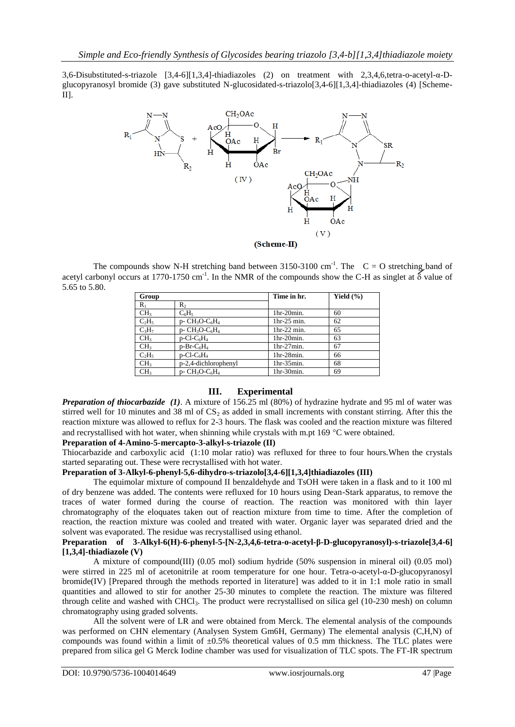3,6-Disubstituted-s-triazole [3,4-6][1,3,4]-thiadiazoles (2) on treatment with 2,3,4,6,tetra-o-acetyl-α-Dglucopyranosyl bromide (3) gave substituted N-glucosidated-s-triazolo[3,4-6][1,3,4]-thiadiazoles (4) [Scheme-II].



The compounds show N-H stretching band between 3150-3100 cm<sup>-1</sup>. The  $C = O$  stretching band of acetyl carbonyl occurs at 1770-1750 cm<sup>-1</sup>. In the NMR of the compounds show the C-H as singlet at  $\delta$  value of 5.65 to 5.80.

| Group           |                                                       | Time in hr.   | Yield $(\% )$ |
|-----------------|-------------------------------------------------------|---------------|---------------|
| $R_1$           | R,                                                    |               |               |
| CH <sub>3</sub> | $C_6H_5$                                              | 1hr-20min.    | 60            |
| $C_2H_5$        | $D - CH_3O-C_6H_4$                                    | $1hr-25 min.$ | 62            |
| $C_3H_7$        | $p$ - CH <sub>3</sub> O-C <sub>6</sub> H <sub>4</sub> | 1hr-22 min.   | 65            |
| CH <sub>3</sub> | $p$ -Cl-C <sub>6</sub> H <sub>4</sub>                 | $1hr-20min.$  | 63            |
| CH <sub>3</sub> | $p-Br-C6H4$                                           | $1hr-27min.$  | 67            |
| $C_2H_5$        | $p$ -Cl-C <sub>6</sub> H <sub>4</sub>                 | $1hr-28min.$  | 66            |
| CH <sub>3</sub> | p-2,4-dichlorophenyl                                  | $1hr-35min.$  | 68            |
| CH <sub>3</sub> | $p$ - CH <sub>3</sub> O-C <sub>6</sub> H <sub>4</sub> | $1hr-30min.$  | 69            |

# **III. Experimental**

*Preparation of thiocarbazide (1)*. A mixture of 156.25 ml (80%) of hydrazine hydrate and 95 ml of water was stirred well for 10 minutes and 38 ml of  $CS_2$  as added in small increments with constant stirring. After this the reaction mixture was allowed to reflux for 2-3 hours. The flask was cooled and the reaction mixture was filtered and recrystallised with hot water, when shinning while crystals with m.pt  $169^{\circ}$ C were obtained.

## **Preparation of 4-Amino-5-mercapto-3-alkyl-s-triazole (II)**

Thiocarbazide and carboxylic acid (1:10 molar ratio) was refluxed for three to four hours.When the crystals started separating out. These were recrystallised with hot water.

# **Preparation of 3-Alkyl-6-phenyl-5,6-dihydro-s-triazolo[3,4-6][1,3,4]thiadiazoles (III)**

The equimolar mixture of compound II benzaldehyde and TsOH were taken in a flask and to it 100 ml of dry benzene was added. The contents were refluxed for 10 hours using Dean-Stark apparatus, to remove the traces of water formed during the course of reaction. The reaction was monitored with thin layer chromatography of the eloquates taken out of reaction mixture from time to time. After the completion of reaction, the reaction mixture was cooled and treated with water. Organic layer was separated dried and the solvent was evaporated. The residue was recrystallised using ethanol.

## **Preparation of 3-Alkyl-6(H)-6-phenyl-5-[N-2,3,4,6-tetra-o-acetyl-β-D-glucopyranosyl)-s-triazole[3,4-6] [1,3,4]-thiadiazole (V)**

A mixture of compound(III) (0.05 mol) sodium hydride (50% suspension in mineral oil) (0.05 mol) were stirred in 225 ml of acetonitrile at room temperature for one hour. Tetra-o-acetyl-α-D-glucopyranosyl bromide(IV) [Prepared through the methods reported in literature] was added to it in 1:1 mole ratio in small quantities and allowed to stir for another 25-30 minutes to complete the reaction. The mixture was filtered through celite and washed with CHCl3. The product were recrystallised on silica gel (10-230 mesh) on column chromatography using graded solvents.

All the solvent were of LR and were obtained from Merck. The elemental analysis of the compounds was performed on CHN elementary (Analysen System Gm6H, Germany) The elemental analysis (C,H,N) of compounds was found within a limit of  $\pm 0.5\%$  theoretical values of 0.5 mm thickness. The TLC plates were prepared from silica gel G Merck Iodine chamber was used for visualization of TLC spots. The FT-IR spectrum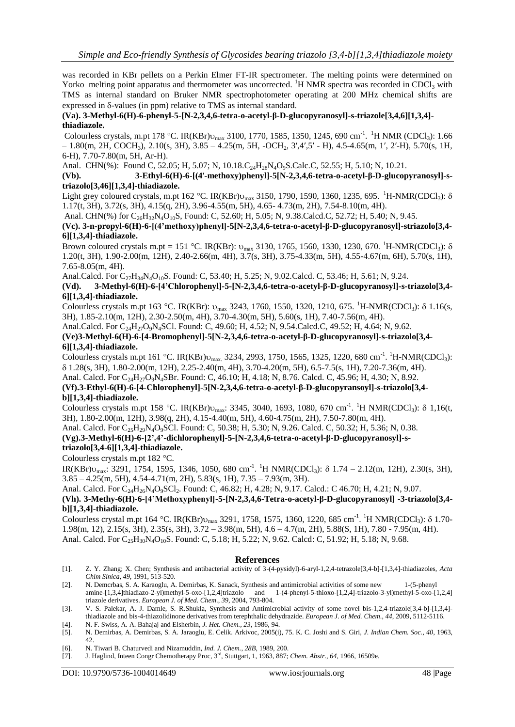was recorded in KBr pellets on a Perkin Elmer FT-IR spectrometer. The melting points were determined on Yorko melting point apparatus and thermometer was uncorrected. <sup>1</sup>H NMR spectra was recorded in CDCl<sub>3</sub> with TMS as internal standard on Bruker NMR spectrophotometer operating at 200 MHz chemical shifts are expressed in  $\delta$ -values (in ppm) relative to TMS as internal standard.

## **(Va). 3-Methyl-6(H)-6-phenyl-5-[N-2,3,4,6-tetra-o-acetyl-β-D-glucopyranosyl]-s-triazole[3,4,6][1,3,4] thiadiazole.**

Colourless crystals, m.pt 178 °C. IR(KBr) $v_{max}$  3100, 1770, 1585, 1350, 1245, 690 cm<sup>-1</sup>. <sup>1</sup>H NMR (CDCl<sub>3</sub>): 1.66  $-1.80(m, 2H, COCH<sub>3</sub>)$ ,  $2.10(s, 3H)$ ,  $3.85 - 4.25(m, 5H, -OCH<sub>2</sub>, 3′,4′,5′ - H)$ ,  $4.5-4.65(m, 1′, 2′-H)$ ,  $5.70(s, 1H, 1′, 2′-H)$ 6-H), 7.70-7.80(m, 5H, Ar-H).

Anal. CHN(%): Found C, 52.05; H, 5.07; N, 10.18.C<sub>24</sub>H<sub>28</sub>N<sub>4</sub>O<sub>9</sub>S.Calc.C, 52.55; H, 5.10; N, 10.21.

#### **(Vb). 3-Ethyl-6(H)-6-[(4**′**-methoxy)phenyl]-5[N-2,3,4,6-tetra-o-acetyl-β-D-glucopyranosyl]-striazolo[3,46][1,3,4]-thiadiazole.**

Light grey coloured crystals, m.pt 162 °C. IR(KBr) $v_{max}$  3150, 1790, 1590, 1360, 1235, 695. <sup>1</sup>H-NMR(CDCl<sub>3</sub>):  $\delta$ 1.17(t, 3H), 3.72(s, 3H), 4.15(q, 2H), 3.96-4.55(m, 5H), 4.65- 4.73(m, 2H), 7.54-8.10(m, 4H).

Anal. CHN(%) for C<sub>26</sub>H<sub>32</sub>N<sub>4</sub>O<sub>10</sub>S, Found: C, 52.60; H, 5.05; N, 9.38.Calcd.C, 52.72; H, 5.40; N, 9.45.

## **(Vc). 3-n-propyl-6(H)-6-[(4'methoxy)phenyl]-5[N-2,3,4,6-tetra-o-acetyl-β-D-glucopyranosyl]-striazolo[3,4- 6][1,3,4]-thiadiazole.**

Brown coloured crystals m.pt = 151 °C. IR(KBr):  $v_{max}$  3130, 1765, 1560, 1330, 1230, 670. <sup>1</sup>H-NMR(CDCl<sub>3</sub>):  $\delta$ 1.20(t, 3H), 1.90-2.00(m, 12H), 2.40-2.66(m, 4H), 3.7(s, 3H), 3.75-4.33(m, 5H), 4.55-4.67(m, 6H), 5.70(s, 1H), 7.65-8.05(m, 4H).

Anal.Calcd. For  $C_{27}H_{34}N_4O_{10}S$ . Found: C, 53.40; H, 5.25; N, 9.02.Calcd. C, 53.46; H, 5.61; N, 9.24.<br>(Vd). 3-Methyl-6(H)-6-[4'Chlorophenyl]-5-[N-2,3,4,6-tetra-o-acetyl-B-D-glucopyranosyl]-s-t

## **(Vd). 3-Methyl-6(H)-6-[4'Chlorophenyl]-5-[N-2,3,4,6-tetra-o-acetyl-β-D-glucopyranosyl]-s-triazolo[3,4- 6][1,3,4]-thiadiazole.**

Colourless crystals m.pt 163 °C. IR(KBr):  $v_{max}$  3243, 1760, 1550, 1320, 1210, 675. <sup>1</sup>H-NMR(CDCl<sub>3</sub>):  $\delta$  1.16(s, 3H), 1.85-2.10(m, 12H), 2.30-2.50(m, 4H), 3.70-4.30(m, 5H), 5.60(s, 1H), 7.40-7.56(m, 4H).

Anal.Calcd. For C<sub>24</sub>H<sub>27</sub>O<sub>9</sub>N<sub>4</sub>SCl. Found: C, 49.60; H, 4.52; N, 9.54.Calcd.C, 49.52; H, 4.64; N, 9.62.

**(Ve)3-Methyl-6(H)-6-[4-Bromophenyl]-5[N-2,3,4,6-tetra-o-acetyl-β-D-glucopyranosyl]-s-triazolo[3,4- 6][1,3,4]-thiadiazole.**

Colourless crystals m.pt 161 °C. IR(KBr) $v_{max}$ . 3234, 2993, 1750, 1565, 1325, 1220, 680 cm<sup>-1</sup>. <sup>1</sup>H-NMR(CDCl<sub>3</sub>): 1.28(s, 3H), 1.80-2.00(m, 12H), 2.25-2.40(m, 4H), 3.70-4.20(m, 5H), 6.5-7.5(s, 1H), 7.20-7.36(m, 4H).

Anal. Calcd. For C<sub>24</sub>H<sub>27</sub>O<sub>9</sub>N<sub>4</sub>SBr. Found: C, 46.10; H, 4.18; N, 8.76. Calcd. C, 45.96; H, 4.30; N, 8.92.

# **(Vf).3-Ethyl-6(H)-6-[4-Chlorophenyl]-5[N-2,3,4,6-tetra-o-acetyl-β-D-glucopyransoyl]-s-triazolo[3,4 b][1,3,4]-thiadiazole.**

Colourless crystals m.pt 158 °C. IR(KBr) $v_{\text{max}}$ : 3345, 3040, 1693, 1080, 670 cm<sup>-1</sup>. <sup>1</sup>H NMR(CDCl<sub>3</sub>):  $\delta$  1,16(t, 3H), 1.80-2.00(m, 12H), 3.98(q, 2H), 4.15-4.40(m, 5H), 4.60-4.75(m, 2H), 7.50-7.80(m, 4H).

Anal. Calcd. For C<sub>25</sub>H<sub>29</sub>N<sub>4</sub>O<sub>9</sub>SCl. Found: C, 50.38; H, 5.30; N, 9.26. Calcd. C, 50.32; H, 5.36; N, 0.38.

# **(Vg).3-Methyl-6(H)-6-[2',4'-dichlorophenyl]-5-[N-2,3,4,6-tetra-o-acetyl-β-D-glucopyranosyl]-striazolo[3,4-6][1,3,4]-thiadiazole.**

Colourless crystals m.pt 182 °C.

 $IR(KBr)$  $v_{\text{max}}$ : 3291, 1754, 1595, 1346, 1050, 680 cm<sup>-1</sup>. <sup>1</sup>H NMR(CDCl<sub>3</sub>):  $\delta$  1.74 – 2.12(m, 12H), 2.30(s, 3H),  $3.85 - 4.25$ (m, 5H),  $4.54 - 4.71$ (m, 2H),  $5.83$ (s, 1H),  $7.35 - 7.93$ (m, 3H).

Anal. Calcd. For C<sub>24</sub>H<sub>26</sub>N<sub>4</sub>O<sub>9</sub>SCl<sub>2</sub>. Found: C, 46.82; H, 4.28; N, 9.17. Calcd.: C 46.70; H, 4.21; N, 9.07.

# **(Vh). 3-Methy-6(H)-6-[4'Methoxyphenyl]-5-[N-2,3,4,6-Tetra-o-acetyl-β-D-glucopyranosyl] -3-triazolo[3,4 b][1,3,4]-thiadiazole.**

Colourless crystal m.pt 164 °C. IR(KBr) $v_{max}$  3291, 1758, 1575, 1360, 1220, 685 cm<sup>-1</sup>. <sup>1</sup>H NMR(CDCl<sub>3</sub>):  $\delta$  1.70-1.98(m, 12), 2.15(s, 3H), 2.35(s, 3H), 3.72 – 3.98(m, 5H), 4.6 – 4.7(m, 2H), 5.88(S, 1H), 7.80 - 7.95(m, 4H). Anal. Calcd. For C<sub>25</sub>H<sub>30</sub>N<sub>4</sub>O<sub>10</sub>S. Found: C, 5.18; H, 5.22; N, 9.62. Calcd: C, 51.92; H, 5.18; N, 9.68.

## **References**

- [1]. Z. Y. Zhang; X. Chen; Synthesis and antibacterial activity of 3-(4-pysidyl)-6-aryl-1,2,4-tetrazole[3,4-b]-[1,3,4]-thiadiazoles, *Acta Chim Sinica*, *49*, 1991, 513-520.
- [2]. N. Demcrbas, S. A. Karaoglu, A. Demirbas, K. Sanack, Synthesis and antimicrobial activities of some new 1-(5-phenyl amine-[1,3,4]thiadiazo-2-yl)methyl-5-oxo-[1,2,4]triazolo and 1-(4-phenyl-5-thioxo-[1,2,4]-triazolo-3-yl)methyl-5-oxo-[1,2,4] triazole derivatives. *European J. of Med. Chem*., *39*, 2004, 793-804.
- [3]. V. S. Palekar, A. J. Damle, S. R.Shukla, Synthesis and Antimicrobial activity of some novel bis-1,2,4-triazole[3,4-b]-[1,3,4] thiadiazole and bis-4-thiazolidinone derivatives from terephthalic dehydrazide. *European J. of Med. Chem*., *44*, 2009, 5112-5116.
- [4]. N. F. Swiss, A. A. Bahajaj and Elsherbin, *J. Het. Chem., 23*, 1986, 94.
- [5]. N. Demirbas, A. Demirbas, S. A. Jaraoglu, E. Celik. Arkivoc, 2005(i), 75. K. C. Joshi and S. Giri, *J. Indian Chem. Soc.*, *40*, 1963, 42.
- [6]. N. Tiwari B. Chaturvedi and Nizamuddin, *Ind. J. Chem.*, *28B*, 1989, 200.
- [7]. J. Haglind, Inteen Congr Chemotherapy Proc, 3rd, Stuttgart, 1, 1963, 887; *Chem. Abstr., 64*, 1966, 16509e.